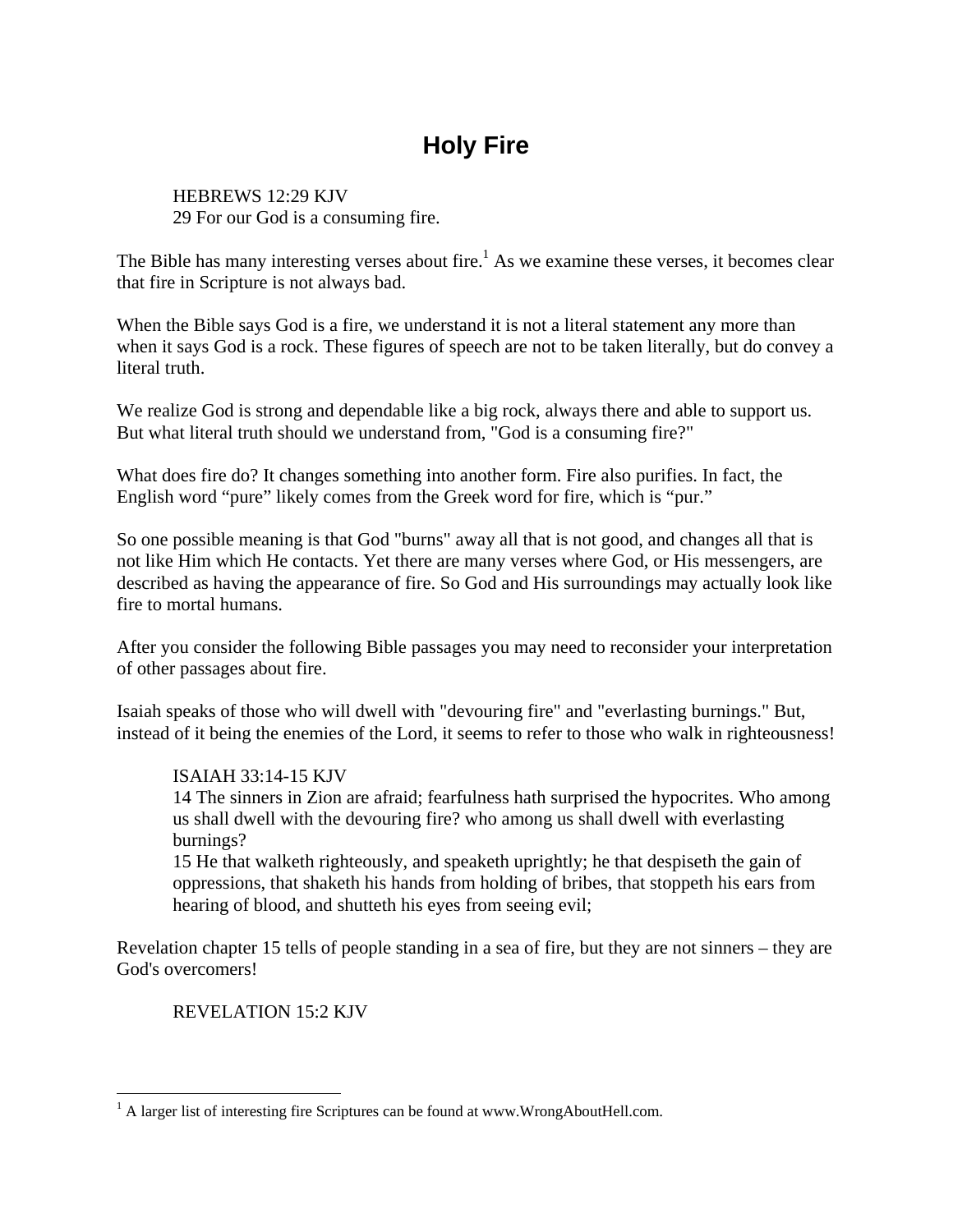# **Holy Fire**

HEBREWS 12:29 KJV 29 For our God is a consuming fire.

The Bible has many interesting verses about fire.<sup>1</sup> As we examine these verses, it becomes clear that fire in Scripture is not always bad.

When the Bible says God is a fire, we understand it is not a literal statement any more than when it says God is a rock. These figures of speech are not to be taken literally, but do convey a literal truth.

We realize God is strong and dependable like a big rock, always there and able to support us. But what literal truth should we understand from, "God is a consuming fire?"

What does fire do? It changes something into another form. Fire also purifies. In fact, the English word "pure" likely comes from the Greek word for fire, which is "pur."

So one possible meaning is that God "burns" away all that is not good, and changes all that is not like Him which He contacts. Yet there are many verses where God, or His messengers, are described as having the appearance of fire. So God and His surroundings may actually look like fire to mortal humans.

After you consider the following Bible passages you may need to reconsider your interpretation of other passages about fire.

Isaiah speaks of those who will dwell with "devouring fire" and "everlasting burnings." But, instead of it being the enemies of the Lord, it seems to refer to those who walk in righteousness!

## ISAIAH 33:14-15 KJV

14 The sinners in Zion are afraid; fearfulness hath surprised the hypocrites. Who among us shall dwell with the devouring fire? who among us shall dwell with everlasting burnings?

15 He that walketh righteously, and speaketh uprightly; he that despiseth the gain of oppressions, that shaketh his hands from holding of bribes, that stoppeth his ears from hearing of blood, and shutteth his eyes from seeing evil;

Revelation chapter 15 tells of people standing in a sea of fire, but they are not sinners – they are God's overcomers!

REVELATION 15:2 KJV

<sup>&</sup>lt;sup>1</sup> A larger list of interesting fire Scriptures can be found at www.WrongAboutHell.com.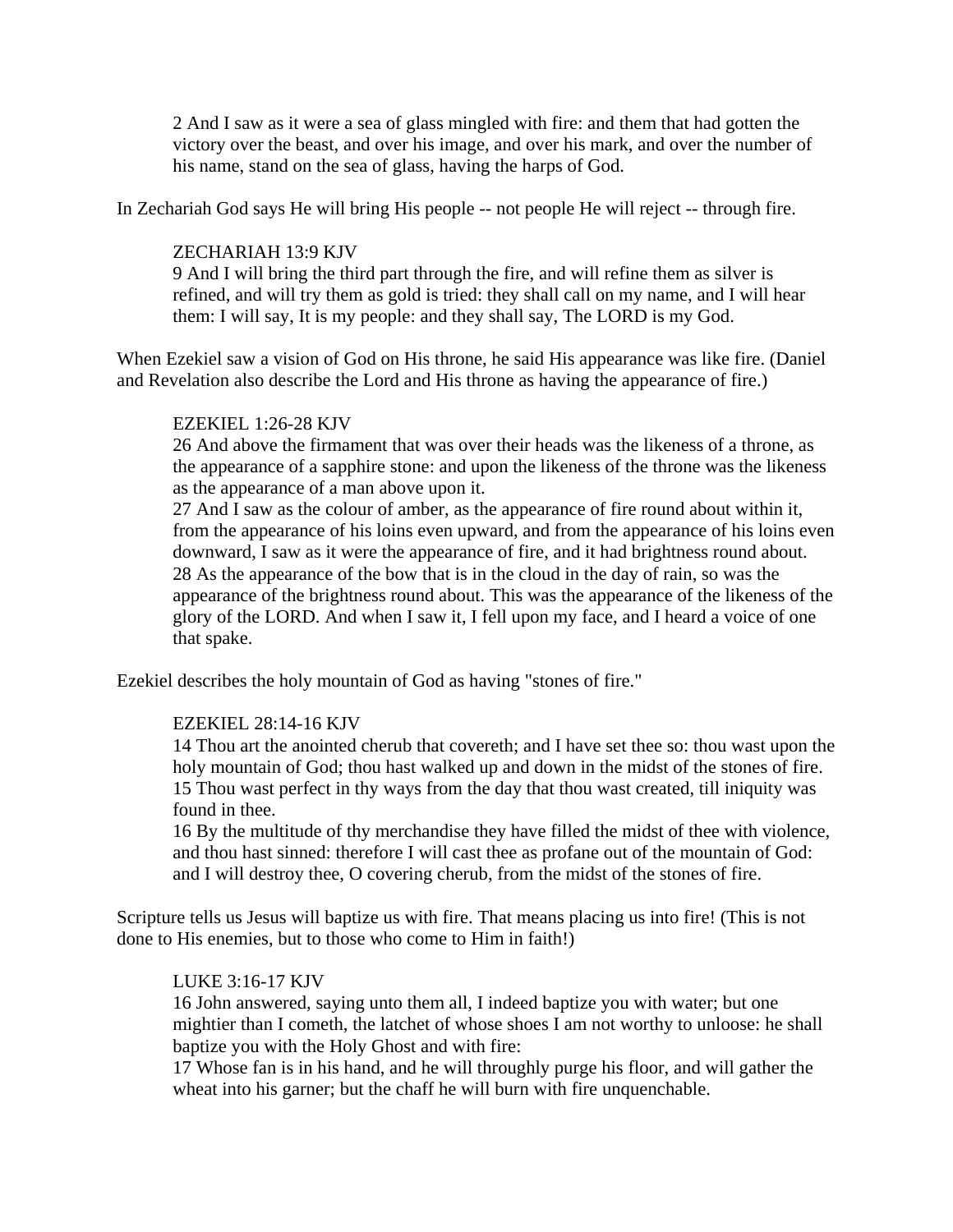2 And I saw as it were a sea of glass mingled with fire: and them that had gotten the victory over the beast, and over his image, and over his mark, and over the number of his name, stand on the sea of glass, having the harps of God.

In Zechariah God says He will bring His people -- not people He will reject -- through fire.

### ZECHARIAH 13:9 KJV

9 And I will bring the third part through the fire, and will refine them as silver is refined, and will try them as gold is tried: they shall call on my name, and I will hear them: I will say, It is my people: and they shall say, The LORD is my God.

When Ezekiel saw a vision of God on His throne, he said His appearance was like fire. (Daniel and Revelation also describe the Lord and His throne as having the appearance of fire.)

## EZEKIEL 1:26-28 KJV

26 And above the firmament that was over their heads was the likeness of a throne, as the appearance of a sapphire stone: and upon the likeness of the throne was the likeness as the appearance of a man above upon it.

27 And I saw as the colour of amber, as the appearance of fire round about within it, from the appearance of his loins even upward, and from the appearance of his loins even downward, I saw as it were the appearance of fire, and it had brightness round about. 28 As the appearance of the bow that is in the cloud in the day of rain, so was the appearance of the brightness round about. This was the appearance of the likeness of the glory of the LORD. And when I saw it, I fell upon my face, and I heard a voice of one that spake.

Ezekiel describes the holy mountain of God as having "stones of fire."

#### EZEKIEL 28:14-16 KJV

14 Thou art the anointed cherub that covereth; and I have set thee so: thou wast upon the holy mountain of God; thou hast walked up and down in the midst of the stones of fire. 15 Thou wast perfect in thy ways from the day that thou wast created, till iniquity was found in thee.

16 By the multitude of thy merchandise they have filled the midst of thee with violence, and thou hast sinned: therefore I will cast thee as profane out of the mountain of God: and I will destroy thee, O covering cherub, from the midst of the stones of fire.

Scripture tells us Jesus will baptize us with fire. That means placing us into fire! (This is not done to His enemies, but to those who come to Him in faith!)

#### LUKE 3:16-17 KJV

16 John answered, saying unto them all, I indeed baptize you with water; but one mightier than I cometh, the latchet of whose shoes I am not worthy to unloose: he shall baptize you with the Holy Ghost and with fire:

17 Whose fan is in his hand, and he will throughly purge his floor, and will gather the wheat into his garner; but the chaff he will burn with fire unquenchable.